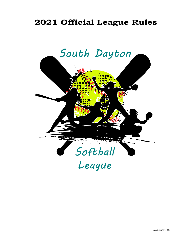# **2021 Official League Rules**

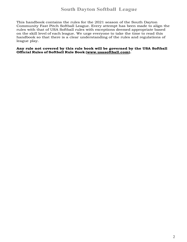This handbook contains the rules for the 2021 season of the South Dayton Community Fast Pitch Softball League. Every attempt has been made to align the rules with that of USA Softball rules with exceptions deemed appropriate based on the skill level of each league. We urge everyone to take the time to read this handbook so that there is a clear understanding of the rules and regulations of league play.

**Any rule not covered by this rule book will be governed by the USA Softball Official Rules of Softball Rule Book (www.usasoftball.com).**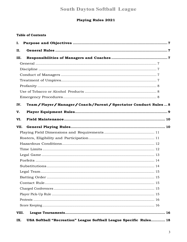# **Playing Rules 2021**

# **Table of Contents**

| Ι.           |                                                                       |  |
|--------------|-----------------------------------------------------------------------|--|
| П.           |                                                                       |  |
| III.         |                                                                       |  |
|              |                                                                       |  |
|              |                                                                       |  |
|              |                                                                       |  |
|              |                                                                       |  |
|              |                                                                       |  |
|              |                                                                       |  |
|              |                                                                       |  |
| IV.          | Team / Player / Manager / Coach / Parent / Spectator Conduct Rules  8 |  |
| V.           |                                                                       |  |
| VI.          |                                                                       |  |
| VII.         |                                                                       |  |
|              |                                                                       |  |
|              |                                                                       |  |
|              |                                                                       |  |
|              |                                                                       |  |
|              |                                                                       |  |
|              |                                                                       |  |
|              |                                                                       |  |
|              |                                                                       |  |
|              |                                                                       |  |
|              |                                                                       |  |
|              |                                                                       |  |
|              |                                                                       |  |
|              |                                                                       |  |
|              |                                                                       |  |
| VIII.<br>IX. | USA Softball "Recreation" League Softball League Specific Rules 18    |  |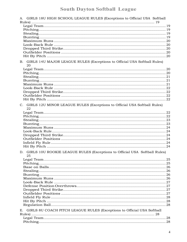| A. GIRLS 18U HIGH SCHOOL LEAGUE RULES (Exceptions to Official USA Softball         |  |
|------------------------------------------------------------------------------------|--|
|                                                                                    |  |
|                                                                                    |  |
|                                                                                    |  |
|                                                                                    |  |
|                                                                                    |  |
|                                                                                    |  |
|                                                                                    |  |
|                                                                                    |  |
|                                                                                    |  |
| B. GIRLS 14U MAJOR LEAGUE RULES (Exceptions to Official USA Softball Rules)        |  |
| 20                                                                                 |  |
|                                                                                    |  |
|                                                                                    |  |
|                                                                                    |  |
|                                                                                    |  |
|                                                                                    |  |
|                                                                                    |  |
|                                                                                    |  |
|                                                                                    |  |
|                                                                                    |  |
| C. GIRLS 12U MINOR LEAGUE RULES (Exceptions to Official USA Softball Rules)<br>22  |  |
|                                                                                    |  |
|                                                                                    |  |
|                                                                                    |  |
|                                                                                    |  |
|                                                                                    |  |
|                                                                                    |  |
|                                                                                    |  |
|                                                                                    |  |
|                                                                                    |  |
|                                                                                    |  |
| D. GIRLS 10U ROOKIE LEAGUE RULES (Exceptions to Official USA Softball Rules)<br>25 |  |
|                                                                                    |  |
|                                                                                    |  |
|                                                                                    |  |
|                                                                                    |  |
|                                                                                    |  |
|                                                                                    |  |
|                                                                                    |  |
|                                                                                    |  |
|                                                                                    |  |
|                                                                                    |  |
|                                                                                    |  |
|                                                                                    |  |
|                                                                                    |  |
|                                                                                    |  |
| E. GIRLS 8U COACH PITCH LEAGUE RULES (Exceptions to Official USA Softball          |  |
|                                                                                    |  |
|                                                                                    |  |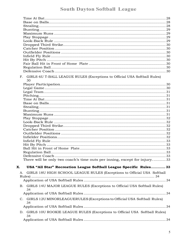| F. GIRLS 6U T-BALL LEAGUE RULES (Exceptions to Official USA Softball Rules)<br>30                                                                         |    |
|-----------------------------------------------------------------------------------------------------------------------------------------------------------|----|
|                                                                                                                                                           |    |
|                                                                                                                                                           |    |
|                                                                                                                                                           |    |
|                                                                                                                                                           |    |
|                                                                                                                                                           |    |
|                                                                                                                                                           |    |
|                                                                                                                                                           |    |
|                                                                                                                                                           |    |
|                                                                                                                                                           |    |
|                                                                                                                                                           |    |
|                                                                                                                                                           |    |
|                                                                                                                                                           |    |
|                                                                                                                                                           |    |
|                                                                                                                                                           |    |
|                                                                                                                                                           |    |
|                                                                                                                                                           |    |
|                                                                                                                                                           |    |
|                                                                                                                                                           |    |
| Regulation Ball                                                                                                                                           | 33 |
|                                                                                                                                                           |    |
| There will be only two coach's time outs per inning, except for injury33                                                                                  |    |
| USA "All Star" Recreation League Softball League Specific Rules 33<br>X.<br>GIRLS 18U HIGH SCHOOL LEAGUE RULES (Exceptions to Official USA Softball<br>А. |    |
|                                                                                                                                                           |    |
|                                                                                                                                                           |    |
| B. GIRLS 14U MAJOR LEAGUE RULES (Exceptions to Official USA Softball Rules)<br>34                                                                         |    |
|                                                                                                                                                           |    |
| C. GIRLS 12U MINORLEAGUERULES (Exceptions to Official USA Softball Rules)<br>34                                                                           |    |
|                                                                                                                                                           |    |
| D. GIRLS 10U ROOKIE LEAGUE RULES (Exceptions to Official USA Softball Rules)<br>34                                                                        |    |
|                                                                                                                                                           |    |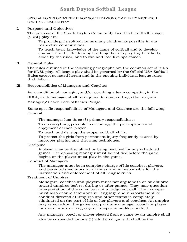### SPECIAL POINTS OF INTEREST FOR SOUTH DAYTON COMMUNITY FAST PITCH SOFTBALL LEAGUE PLAY

**I.** Purpose and Objectives

The purpose of the South Dayton Community Fast Pitch Softball League (SDSL) play are:

To provide girls softball for as many children as possible in our respective communities.

To teach basic knowledge of the game of softball and to develop character in the children by teaching them to play together fairly, abide by the rules, and to win and lose like sportsmen.

**II.** General Rules

The rules outlined in the following paragraphs are the common set of rules for SDSL play. All league play shall be governed by the Official USA Softball Rules except as noted herein and in the ensuing individual league rules that follow.

**III.** Responsibilities of Managers and Coaches

As a condition of managing and/or coaching a team competing in the SDSL, each manager shall be required to read and sign the League's Manager/Coach Code of Ethics Pledge.

Some specific responsibilities of Managers and Coaches are the following: General

The manager has three (3) primary responsibilities:

To do everything possible to encourage the participation and enjoyment of each player.

To teach and develop the proper softball skills.

To protect the girls from permanent injury frequently caused by improper playing and throwing techniques.

# Discipline

A player may be disciplined by being benched for any scheduled games. The opposing manager must be notified before the game begins or the player must play in the game.

## Conduct of Managers

The manager must be in complete charge of his coaches, players, and parents/spectators at all times and is responsible for the instruction and enforcement of all League rules.

## Treatment of Umpires

Managers, coaches and players must not argue with or be abusive toward umpires before, during or after games. They may question interpretation of the rules but not a judgment call. The manager must also ensure that abusive language and unsportsmanlike conduct directed at umpires and other teams is completely eliminated on the part of his or her players and coaches. An umpire may remove from the game and park any manager, coach or player for use of abusive language or unsportsmanlike conduct.

Any manager, coach or player ejected from a game by an umpire shall also be suspended for one (1) additional game. It shall be the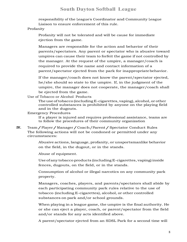responsibility of the League's Coordinator and Community League Liaison to ensure enforcement of this rule.

Profanity

Profanity will not be tolerated and will be cause for immediate ejection from the game.

Managers are responsible for the action and behavior of their parents/spectators. Any parent or spectator who is abusive toward umpires can cause their team to forfeit the game if not controlled by the manager. At the request of the umpire, a manager/coach is required to provide the name and contact information of a parent/spectator ejected from the park for inappropriatebehavior.

If the manager/coach does not know the parent/spectator ejected, he/she should so state to the umpire. If, in the judgment of the umpire, the manager does not cooperate, the manager/coach shall be ejected from the game.

Use of Tobacco or Alcohol Products

The use of tobacco (including E-cigarettes, vaping), alcohol, or other controlled substances is prohibited by anyone on the playing field and in the dugouts.

Emergency Procedures

If a player is injured and requires professional assistance, teams are to follow the procedures of their community organization

**IV.** Team/Player/Manager/Coach/Parent/Spectator Conduct Rules The following actions will not be condoned or permitted under any circumstances:

> Abusive actions, language, profanity, or unsportsmanlike behavior on the field, in the dugout, or in the stands.

Abuse of equipment.

Use of any tobaccoproducts (including E-cigarettes, vaping) inside fences, dugouts, on the field, or in the stands.

Consumption of alcohol or illegal narcotics on any community park property.

Managers, coaches, players, and parents/spectators shall abide by each participating community park rules relative to the use of tobacco (including E-cigarettes), alcohol, or other controlled substances on park and/or school grounds.

When playing in a league game, the umpire is the final authority. He or she can eject a player, coach, or parent/spectator from the field and/or stands for any acts identified above.

A parent/spectator ejected from an SDSL Park for a second time will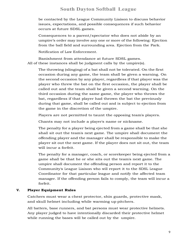be contacted by the League Community Liaison to discuss behavior issues, expectations, and possible consequences if such behavior occurs at future SDSL games.

Consequences to a parent/spectator who does not abide by an umpire's order may involve any one or more of the following: Ejection from the ball field and surrounding area. Ejection from the Park.

Notification of Law Enforcement.

Banishment from attendance at future SDSL games. All of these instances shall be judgment calls by the umpire(s).

The throwing (slinging) of a bat shall not be tolerated. On the first occasion during any game, the team shall be given a warning. On the second occasion by any player, regardless if that player was the player who threw the bat on the first occasion, the player shall be called out and the team shall be given a second warning. On the third occasion during the same game, the player who throws the bat, regardless if that player had thrown the bat the previously during that game, shall be called out and is subject to ejection from the game in the discretion of the umpire.

Players are not permitted to taunt the opposing team's players.

Chants may not include a player's name or nickname.

The penalty for a player being ejected from a game shall be that she shall sit out the team's next game. The umpire shall document the offending player and the manager shall be responsible to make the player sit out the next game. If the player does not sit out, the team will incur a forfeit.

The penalty for a manager, coach, or scorekeeper being ejected from a game shall be that he or she sits out the team's next game. The umpire shall document the offending person and report it to the Community's League Liaison who will report it to the SDSL League Coordinator for that particular league and notify the affected team manager. If the offending person fails to comply, the team will incur a forfeit.

## **V. Player Equipment Rules**

Catchers must wear a chest protector, shin guards, protective mask, and skull helmet including while warming up pitchers.

All batters, base runners, and bat persons must wear protective helmets. Any player judged to have intentionally discarded their protective helmet while running the bases will be called out by the umpire.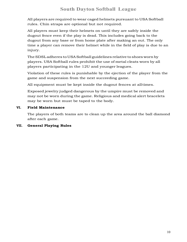All players are required to wear caged helmets pursuant to USA Softball rules. Chin straps are optional but not required.

All players must keep their helmets on until they are safely inside the dugout fence even if the play is dead. This includes going back to the dugout from any base or from home plate after making an out. The only time a player can remove their helmet while in the field of play is due to an injury.

The SDSL adheres to USA Softball guidelines relative to shoes worn by players. USA Softball rules prohibit the use of metal cleats worn by all players participating in the 12U and younger leagues.

Violation of these rules is punishable by the ejection of the player from the game and suspension from the next succeeding game.

All equipment must be kept inside the dugout fences at alltimes.

Exposed jewelry judged dangerous by the umpire must be removed and may not be worn during the game. Religious and medical alert bracelets may be worn but must be taped to the body.

# **VI. Field Maintenance**

The players of both teams are to clean up the area around the ball diamond after each game.

# **VII. General Playing Rules**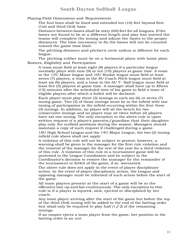Playing Field Dimensions and Requirements

The foul lines shall be lined and extended ten (10) feet beyond first (1st) and third (3rd) base.

Distance between bases shall be sixty (60) feet for all leagues. If the bases are found to be at a different length and play has started the teams will complete the inning and adjust the bases to the proper distances. The time necessary to fix the bases will not be counted toward the game time limit.

The pitching distance and pitcher's circle radius is different for each league.

The pitching rubber must be on a horizontal plane with home plate. Rosters, Eligibility and Participation

A team must field at least eight (8) players if a particular league normally plays with nine (9) or ten (10) players at game time. A team in the 12U Minor league and 10U Rookie league must field at least seven (7) players, a team in the 8U Coach Pitch league must field at least six (6) players, and a team in the 6U T- Ball league must field at least five (5) players at game time. A manager shall have up to fifteen (15) minutes after the scheduled time of his game to field a team of eligible players after which a forfeit will be declared.

Each player must play three (3) innings in each six (6) or seven (7) inning game. Two (2) of those innings must be in the infield with one inning of participation in the infield occurring within the first three (3) innings. In addition, no player will sit the bench for two consecutive innings and no player may sit twice before all players have sat one inning. The only exception to the above rule is upon written request of a player's parents/guardian that their daughter play only the outfield positions during the season. Managers should maintain a copy of such request if challenged during a game. 18U High School League and the 14U Major League, the two (2) inning infield rule above shall not apply.

A violation of this rule will not be subject to protest; however, a warning shall be given to the manager for the first rule violation and the removal of the manager for the rest of the year for a third violation of this rule. A violation of this rule in a tournament game will be protested to the League Coordinator and be subject to the Coordinator's decision to remove the manager for the remainder of the tournament or forfeit of the game, if so warranted.

The above rule does not apply in the event of player disciplinary action. In the event of player disciplinary action, the League and opposing manager must be informed of such action before the start of the game.

All team players present at the start of a game will be in the offensive line up and bat continuously. The only exception to this rule is if a player is injured, sick, ejected or disciplined by her coach.

Any team player arriving after the start of the game but before the top of the third (3rd) inning will be added to the end of the batting order but shall only be required to play half  $(1/2)$  of the remaining innings.

If an umpire ejects a team player from the game, her position in the batting order is an out.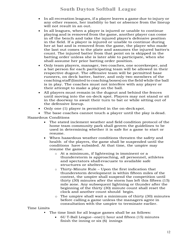- In all recreation leagues, if a player leaves a game due to injury or any other reason, her inability to bat or absence from the lineup will not result in an out.
- In all leagues, when a player is injured or unable to continue playing and is removed from the game, another player can come in off the bench and take the injured player's defensive position in the field. If a player is injured or unable to continue during her at bat and is removed from the game, the player who made the last out comes to the plate and assumes the injured batter's count. The injured batter from that point on is skipped in the batting order unless she is later able to participate, when she shall assume her prior batting order position.
- Only team players, manager, two coaches, one scorekeeper, and a bat person for each participating team will be allowed in their respective dugout. The offensive team will be permitted base runners, on deck batter, batter, and only two members of the coaching staff (limited to coaching boxes) onthe field while the ball is in play. The coaches must not interfere with any player or their attempt to make a play on the ball.
- All players must remain in the dugout and behind the fences until moving into the on-deck spot. Players may not stand or sit in the doorway to await their turn to bat or while sitting out of the defensive lineup.
- Only one (1) player is permitted in the on-deckspot.
- The base coaches cannot touch a player until the play is dead.

Hazardous Conditions

- The stated inclement weather and field condition protocol of the home team community park shall govern the guidelines to be used in determining whether it is safe for a game to start or resume.
- When hazardous weather conditions threaten the safety and health of the players, the game shall be suspended until the conditions have subsided. At that time, the umpire may resume the game.
	- o At a minimum, if lightening is imminent or a thunderstorm is approaching, all personnel, athletes and spectators shall evacuate to available safe structures or shelters.
	- o Thirty-Minute Rule Upon the first indication that thunderstorm development is within fifteen miles of the contest, the umpire shall suspend the competition until thirty (30) minutes after the storm has left this fifteen (15) mile zone. Any subsequent lightning or thunder after the beginning of the thirty (30) minute count shall reset the clock and another count should begin.
	- o The umpire shall wait a minimum of thirty (30) minutes before calling a game unless the managers agree in consultation with the umpire to terminate earlier.

## Time Limits

- § The time limit for all league games shall be as follows:
	- 6U T-Ball League--one(1) hour and fifteen (15) minutes finish the inning or six (6) innings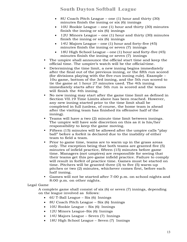- 8U Coach Pitch League one (1) hour and thirty (30) minutes finish the inning or six (6) innings
- 10U Rookie League one (1) hour and thirty (30) minutes finish the inning or six (6) innings
- 12U Minors League one (1) hour and thirty (30) minutes finish the inning or six (6) innings
- 14U Majors League one (1) hour and forty-five (45) minutes finish the inning or seven (7) innings
- 18U High School League one (1) hour and forty-five (45) minutes finish the inning or seven (7) innings
- § The umpire shall announce the official start time and keep the official time. The umpire's watch will be the officialtime.
- Determining the time limit, a new inning begins immediately after the final out of the previous inning, or the fifth run scored (for divisions playing with the five-run inning rule). Example – 10u game, bottom of the 3rd inning, and the 5th run scored to tie the game at 1 hour 27 minutes used. The 4th inning immediately starts after the 5th run is scored and the teams will finish the 4th inning.
- § No new inning may start after the game time limit as defined in Section VII.19 Time Limits above has been reached. However, any new inning started prior to the time limit shall be completed in full (unless, of course, the home team is ahead after the visiting team has finished its offensive half of the inning).
- § Teams will have a two (2) minute time limit between innings. The umpire will have sole discretion on this as it is his/her responsibility to keep the game moving.
- Fifteen (15) minutes will be allowed after the umpire calls "play" ball" before a forfeit is declared due to the inability of either team to field a team.
- § Prior to game time, teams are to warm up in the grass areas only. The exception being that both teams are granted five (5) minutes of infield practice, fifteen (15) minutes before game time. Managers (not umpires) are responsible for seeing that their teams get this pre-game infield practice. Failure to comply will result in forfeit of practice time. Games must be started on time. Pitchers will be granted three (3) to five (5) warm-up pitches or two (2) minutes, whichever comes first, before each half inning.
- § Games will not be started after 7:00 p.m. on school nights and 8:00 p.m. on other nights.

# Legal Game

A complete game shall consist of six (6) or seven (7) innings, depending on the league involved as follows:

- 6U T-Ball League Six (6) Innings
- 8U Coach Pitch League Six (6) Innings
- 10U Rookie League Six (6) Innings
- 12U Minors League–Six (6) Innings
- 14U Majors League Seven (7) Innings
- 18U High School League Seven (7) Innings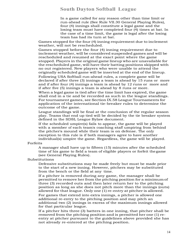In a game called for any reason other than time limit or run-ahead rule (See Rule VII.30 General Playing Rules), four (4) innings shall constitute a legal game and the losing team must have completed four (4) times at bat. In the case of a time limit, the game is legal after the losing team has had its turn at bat.

Games stopped for the four (4) inning requirement due to inclement weather, will not be rescheduled.

Games stopped before the four (4) inning requirement due to inclement weather, will be considered suspended games and will be rescheduled and resumed at the exact point where the game stopped. Players in the original game lineup who are unavailable for the rescheduled game, will have their batting positions skipped with no out registered. New players who were unable to attend the originally scheduled game will be inserted at the end of the lineup. Following USA Softball run-ahead rules, a complete game will be declared if after three (3) innings a team is ahead by 15 runs or more and if after four (4) innings a team is ahead by 12 runs or more and if after five (5) innings a team is ahead by 8 runs or more.

When a legal game is tied after the time limit has expired, the game shall end in a tie and be recorded as such in the league standings. For tournament games, see Section IX.58 League Tournaments for application of the international tie-breaker rules to determine the outcome of the game.

League standings will be final at the conclusion of the regular season play. Teams that end up tied will be decided by the tie breaker system defined in the SDSL League Bylaw document.

If the scheduled umpire(s) fails to appear, the game will be played with a member of each team's coaching staff umpiring from behind the pitcher's mound while their team is on defense. The only exception to this rule is if both managers agree to have another individual(s) umpire the game. Regardless, the game will be played.

#### Forfeits

A manager shall have up to fifteen (15) minutes after the scheduled time of his game to field a team of eligible players or forfeit thegame (see General Playing Rules).

Substitutions

Defensive substitutions may be made freely but must be made prior to the start of a new inning. However, pitchers may be substituted from the bench or the field at any time.

If a pitcher is removed during any game, the manager shall be permitted to remove her from the pitching position for a minimumof three (3) recorded outs and then later return her to the pitching position as long as she does not pitch more than the innings (outs) allowed for that league. Only one (1) re-entry at pitcher is allowed.

For games that extend into extra innings, a pitcher is allowed one additional re-entry to the pitching position and may pitch an additional two (2) innings in excess of the maximum innings allowed for that particular league.

If a pitcher hits three (3) batters in one inning, that pitcher shall be removed from the pitching position and is permitted her one (1) reentry at pitcher pursuant to the guidelines above provided she has not already re-entered at the pitching position.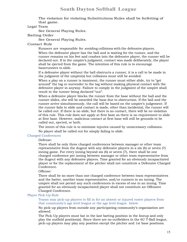The violation for violating Substitutions Rules shall be forfeiting of that game.

### Legal Team

See General Playing Rules.

### Batting Order

See General Playing Rules.

### Contact Rule

Runners are responsible for avoiding collisions with the defensive players.

When the defensive player has the ball and is waiting for the runner, and the runner remains on his feet and crashes into the defensive player, the runner will be declared out. If in the umpire's judgment, contact was made deliberately, the player shall be ejected from the game. The intention of this rule is to encourage baserunners to slide.

If a defensive player without the ball obstructs a runner, it is a call to be made in the judgment of the umpire(s) but collisions must still be avoided.

When a play on a runner is imminent, the runner must either slide, try to "get around" the tag or surrender to the tag without making physical contact with the defensive player in anyway. Failure to comply in the judgment of the umpire shall result in the runner being declared "out".

When a defensive player blocks the runner from the base without the ball and the runner slides, she will be awarded the base due to obstruction. If the ball and the runner arrive simultaneously, the call will be based on the umpire's judgement. If the runner fails to slide and contact is made, other than incidental, the runner will be called out. If there is no slide, but there is no contact, there will be no violation of this rule. This rule does not apply at first base as there is no requirement to slide at first base. However, malicious contact at first base will still be grounds to be called out, ejected, or both.

The intent of this rule is to minimize injuries caused by unnecessary collisions. No player shall be called out for simply failing to slide.

#### Charged Conferences

#### Defense:

There shall be only three charged conferences between manager or other team representative from the dugout with any defensive players in a six (6) or seven (7) inning game. For every inning beyond six (6) or seven (7), there shall be one charged conference per inning between manager or other team representative from the dugout with any defensive players. Time granted for an obviously incapacitated player or for the replacement of the pitcher shall not constitute a Defensive Charged Conference.

# Offense:

There shall be no more than one charged conference between team representatives and the batter, another team representative, and/or runners in an inning. The umpire shall not permit any such conferences in excess of one in an inning. Time granted for an obviously incapacitated player shall not constitute an Offensive Charged Conference.

### Player Pick-Up Rule

Teams may pick-up players to fill in for an absent or injured roster players from that community's age level league or the age level league below.

No pick-up players from outside any participating community's organization are allowed.

The Pick-Up players must bat in the last batting position in the lineup and only play the outfield position(s). Since there are no outfielders in the 6U T-Ball league, pick-up players may play any position except the pitcher and 1st base positions.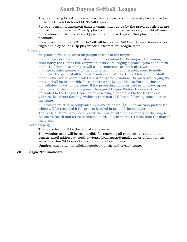Any team using Pick-Up players must field at least six (6) rostered players (five (5) in the 8U Coach Pitch and 6U T-Ball leagues).

For post-season tournament games, teams must abide by the previous rule but are limited in the number of Pick-Up players to the number necessary to field all nine (9) positions on the field (ten (10) positions in those leagues that play ten (10) positions).

Players rostered on a SDSL USA Softball Recreation "All Star" League team are not eligible to play as Pick-Up players for a "Recreation" League team.

### Protests

No protests will be allowed on judgment calls of the umpire.

If a manager desires to protest a rule interpretation by the umpire, the manager shall notify the Home Plate Umpire that they are lodging a protest prior to the next pitch. The Home Plate Umpire will call a conference at home plate with both managers, other members of the umpire team, and both scorekeepers to notify them that the game shall be played under protest. The Home Plate Umpire shall mark in the official score book the current game situation. The manager lodging the protest shall be responsible for completing the League Protest Form during or immediately following the game. If the protesting manager desires to follow-up on the protest at the end of the game, the signed League Protest Form must be presented to the League Coordinator in writing and emailed to the league email address (See Score Keeping) within twenty-four (24) hours following conclusion of the game.

All protests must be accompanied by a one-hundred (\$100) dollar cash protest fee which will be refunded if the protest is ruled in favor of the manager.

The League Coordinator shall review the protest with the assistance of the League Executive Board and strive to return a decision within one (1) week from the date of the protest.

### Score Keeping

The home team will be the official scorekeeper.

The winning team will be responsible for reporting all game score results to the League email address at southdaytonsoftballleague@gmail.com or submit on the website within 24 hours of the completion of each game.

Umpires must sign the official scorebook at the end of each game.

### **VIII. League Tournaments**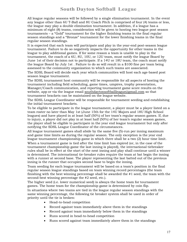All league regular seasons will be followed by a single elimination tournament. In the event any league other than 6U T-Ball and 8U Coach Pitch is comprised of four (4) teams or less, the league may play a double elimination tournament. In addition, if a league has a minimum of eight (8) teams, consideration will be given to hosting two league post season tournaments – a "Gold" tournament for the higher finishing teams in the final regular season standings and a "Bronze" tournament for the lower finishing teams in the final regular season standings.

It is expected that each team will participate and play in the year-end post-season league tournament. Failure to do so negatively impacts the opportunity for other teams in the league to play additional games. If for some reason a team is unable to play in the tournament, the coach of a 6U, 8U, 10U, or 12U team, must notify the league Board by June 1st of their decision not to participate. If a 14U or 18U team, the coach must notify the league Board by July 1st . Failure to do so will result in a \$100 fine per team being assessed to the community organization to which such teams are associated.

The SDSL Board will decide each year which communities will host each age-based post season league tournament.

The SDSL tournament host community will be responsible for all aspects of hosting the tournament including field scheduling, game times, umpires, trophy presentation, Manager/Coach communication, and reporting tournament game score results on the website, app or via the league email southdaytonsoftballleague@gmail.com so that tournament brackets can be maintained on the league website.

The SDSL League Coordinator will be responsible for tournament seeding and establishing the initial tournament brackets.

To be eligible to participate in the league tournament, a player must be a player listed on a team roster no later than May 1st (June 15th for the 14U Majors and 18U High School leagues) and have played in at least half (50%) of her team's regular season games. If, due to injury, a player did not play in at least half (50%) of her team's regular season games, the player shall be eligible to participate in the year end league tournament but only after notifying the SDSL League Coordinator of the circumstances.

All league tournament games shall abide by the same five (5)-run per inning maximum and game time limits as during the regular season. The only exception is the year end league tournament championship game in which there shall be a two (2) hour time limit.

When a tournament game is tied after the time limit has expired (or, in the case of the tournament championship game the last inning is played), the international tiebreaker rules shall be in effect at the start of the next inning and play shall continue until a winner is determined. The international tie-breaker rules require the team at bat begin the inning with a runner at second base. The player representing the last batted out of the previous inning is the runner that occupies second base to begin the inning.

Team seeding for each league tournament will be based on a team's position in the final regular season league standings based on team winning record percentages (the team finishing with the best winning percentage shall be awarded the #1 seed, the team with the second-best winning percentage the #2 seed, etc.).

The higher seed (i.e. lower numerical seed) is always the home team for tournament games. The home team for the championship game is determined by coin flip. In situations where two teams are tied in the league regular season standings with the same winning percentage, the following tie breaker system shall be used in order of priority until the tie is broken:

- Head-to-head competition
- Record against team immediately above them in the standings
- Record against team immediately below them in the standings
- Runs scored in head-to-head competition
- Runs scored against team immediately above them in the standings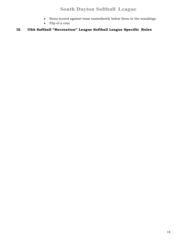- Runs scored against team immediately below them in the standings.
- Flip of a coin

# **IX. USA Softball "Recreation" League Softball League Specific Rules**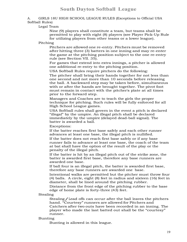### A. GIRLS 18U HIGH SCHOOL LEAGUE RULES (Exceptions to Official USA Softball Rules)

### Legal Team

Nine (9) players shall constitute a team, but teams shall be permitted to play with eight (8) players (see Player Pick-Up Rule for utilizing players from other teams or a lower league).

### Pitching

Pitchers are allowed one re-entry. Pitchers must be removed after hitting three (3) batters in one inning and may re-enter the game at the pitching position subject to the one re-entry rule (see Section VII. 35).

For games that extend into extra innings, a pitcher is allowed one additional re-entry to the pitching position.

USA Softball Rules require pitchers do the following:

The pitcher shall bring their hands together for not less than one second and not more than 10 seconds before releasing the ball. A backward step may be taken before, simultaneous with or after the hands are brought together. The pivot foot must remain in contact with the pitcher's plate at all times prior to the forward step.

Managers and Coaches are to teach the girls the proper technique for pitching. Such rules will be fully enforced for all High School League games.

USA Softball rules shall govern in the event a pitch is declared "illegal" by the umpire. An illegal pitch shall be declared immediately by the umpire (delayed dead-ball signal). The batter is awarded a ball.

Exceptions:

If the batter reaches first base safely and each other runner advances at least one base, the illegal pitch is nullified.

If the batter does not reach first base safely or if any base runner fails to advance at least one base, the coach of the team at bat shall have the option of the result of the play or the penalty of the illegal pitch.

If the batter is hit by an illegal pitch out of the strike zone, the batter is awarded first base, therefore any base runners are awarded one base.

If ball four is an illegal pitch, the batter is awarded first base, therefore any base runners are awarded one base.

Intentional walks are permitted but the pitcher must throw four (4) balls. A circle, eight (8) feet in radius and sixteen (16) feet in diameter, shall be lined around the pitching rubber.

Distance from the front edge of the pitching rubber to the base edge of home plate is forty-three (43) feet.

Stealing

Stealing/Lead offs can occur after the ball leaves the pitchers hand. "Courtesy" runners are allowed for Pitchers and Catchers after two outs have been recorded in an inning. The player who made the last batted out shall be the "courtesy" runner.

## Bunting

Bunting is allowed in this league.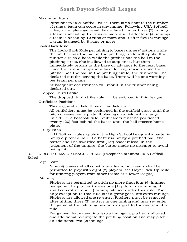Maximum Runs

Pursuant to USA Softball rules, there is no limit to the number of runs a team can score in any inning. Following USA Softball rules, a complete game will be declared if after three (3) innings a team is ahead by 15 runs or more and if after four (4) innings a team is ahead by 12 runs or more and if after five (5) innings a team is ahead by 8 runs or more.

Look-Back Rule

The Look-Back Rule pertaining to base runners' actions while the pitcher has the ball in the pitching circle will apply. If a runner circles a base while the pitcher has the ball in the pitching circle, she is allowed to stop once, but then immediately return to the base or advance to the next base. Once the runner stops at a base for any reason while the pitcher has the ball in the pitching circle, the runner will be declared out for leaving the base. There will be one warning per team per game.

Subsequent occurrences will result in the runner being declared out.

Dropped Third Strike

The dropped third strike rule will be enforced in this league. Outfielder Positions

This league shall field three (3) outfielders.

All outfielders must be positioned in the outfield grass until the pitch crosses home plate. If playing on a field with a large infield (i.e. a baseball field), outfielders must be positioned twenty (20) feet behind the bases until the ball crosses home plate.

Hit By Pitch

USA Softball rules apply in the High School League if a batter is hit by a pitched ball. If a batter is hit by a pitched ball, the batter shall be awarded first (1st) base unless, in the judgment of the umpire, the batter made no attempt to avoid being hit.

B. GIRLS 14U MAJOR LEAGUE RULES (Exceptions to Official USA Softball Rules)

### Legal Team

Nine (9) players shall constitute a team, but teams shall be permitted to play with eight (8) players (see Player Pick-Up Rule for utilizing players from other teams or a lower league).

## Pitching

Pitchers are permitted to pitch no more than four (4) innings per game. If a pitcher throws one (1) pitch in an inning, it shall constitute one (1) inning pitched under this rule. The only exception to this rule is if a game goes into extra innings. Pitchers are allowed one re-entry. Pitchers must be removed after hitting three (3) batters in one inning and may re- enter the game at the pitching position subject to the one re-entry rule.

For games that extend into extra innings, a pitcher is allowed one additional re-entry to the pitching position and may pitch an additional two (2) innings.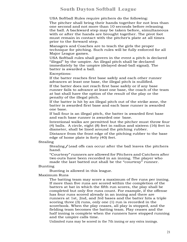USA Softball Rules require pitchers do the following:

The pitcher shall bring their hands together for not less than one second and not more than 10 seconds before releasing the ball. A backward step may be taken before, simultaneous with or after the hands are brought together. The pivot foot must remain in contact with the pitcher's plate at all times prior to the forward step.

Managers and Coaches are to teach the girls the proper technique for pitching. Such rules will be fully enforced for all Major League games.

USA Softball rules shall govern in the event a pitch is declared "illegal" by the umpire. An illegal pitch shall be declared immediately by the umpire (delayed dead-ball signal). The batter is awarded a ball.

Exceptions:

If the batter reaches first base safely and each other runner advances at least one base, the illegal pitch is nullified.

If the batter does not reach first base safely or if any base runner fails to advance at least one base, the coach of the team at bat shall have the option of the result of the play or the penalty of the illegal pitch.

If the batter is hit by an illegal pitch out of the strike zone, the batter is awarded first base and each base runner is awarded one base.

If ball four is an illegal pitch, the batter is awarded first base and each base runner is awarded one base.

Intentional walks are permitted but the pitcher must throw four (4) balls. A circle, eight (8) feet in radius and sixteen (16) feet in diameter, shall be lined around the pitching rubber.

Distance from the front edge of the pitching rubber to the base edge of home plate is forty (40) feet.

#### Stealing

Stealing/Lead offs can occur after the ball leaves the pitchers hand.

"Courtesy" runners are allowed for Pitchers and Catchers after two outs have been recorded in an inning. The player who made the last batted out shall be the "courtesy" runner.

#### Bunting

Bunting is allowed in this league.

### Maximum Runs

The batting team may score a maximum of five runs per inning. If more than five runs are scored within the completion of the batters at bat in which the fifth run scores, the play shall be completed but only five runs count. For example, if the offense has four runs scored already in an inning and there are runners at 1st, 2nd, and 3rd bases and the batter hits a triple scoring three (3) runs, only one (1) run is recorded in the scorebook. When the play ceases, all play is stopped, and the fielding team becomes the batting team. Play ceases and the half inning is complete when the runners have stopped running and the umpire calls time.

Unlimited runs may be scored in the 7th inning or any extra innings.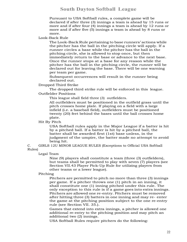Pursuant to USA Softball rules, a complete game will be declared if after three (3) innings a team is ahead by 15 runs or more and if after four (4) innings a team is ahead by 12 runs or more and if after five (5) innings a team is ahead by 8 runs or more.

Look-Back Rule

The Look-Back Rule pertaining to base runners' actions while the pitcher has the ball in the pitching circle will apply. If a runner circles a base while the pitcher has the ball in the pitching circle, she is allowed to stop once, but then immediately return to the base or advance to the next base. Once the runner stops at a base for any reason while the pitcher has the ball in the pitching circle, the runner will be declared out for leaving the base. There will be one warning per team per game.

Subsequent occurrences will result in the runner being declared out.

Dropped Third Strike

The dropped third strike rule will be enforced in this league. Outfielder Positions

This league shall field three (3) outfielders.

All outfielders must be positioned in the outfield grass until the pitch crosses home plate. If playing on a field with a large infield (i.e. a baseball field), outfielders must be positioned twenty (20) feet behind the bases until the ball crosses home plate.

Hit By Pitch

USA Softball rules apply in the Major League if a batter is hit by a pitched ball. If a batter is hit by a pitched ball, the batter shall be awarded first (1st) base unless, in the judgment of the umpire, the batter made no attempt to avoid being hit.

C. GIRLS 12U MINOR LEAGUE RULES (Exceptions to Official USA Softball Rules)

Legal Team

Nine (9) players shall constitute a team (three (3) outfielders), but teams shall be permitted to play with seven (7) players (see Section VII.43 Player Pick-Up Rule for utilizing players from other teams or a lower league).

#### Pitching

Pitchers are permitted to pitch no more than three (3) innings per game. If a pitcher throws one (1) pitch in an inning, it shall constitute one (1) inning pitched under this rule. The only exception to this rule is if a game goes into extra innings. Pitchers are allowed one re-entry. Pitchers must be removed after hitting three (3) batters in one inning and may re- enter the game at the pitching position subject to the one re-entry rule (see Section VII. 35.).

Games that extend into extra innings, a pitcher is allowed one additional re-entry to the pitching position and may pitch an additional two (2) innings.

USA Softball Rules require pitchers do the following: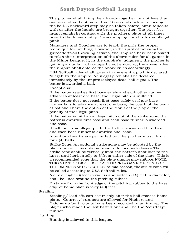The pitcher shall bring their hands together for not less than one second and not more than 10 seconds before releasing the ball. A backward step may be taken before, simultaneous with or after the hands are brought together. The pivot foot must remain in contact with the pitcher's plate at all times prior to the forward step. Crow-hopping constitutes an illegal pitch.

Managers and Coaches are to teach the girls the proper technique for pitching. However,inthe spirit of focusing the girls' efforts onthrowing strikes, the umpires have been asked to relax their interpretation of the above rules for all games in the Minor League. If, in the umpire's judgment, the pitcher is gaining an unfair advantage by not enforcing the above rules, the umpire shall enforce the above rules accordingly.

USA Softball rules shall govern in the event a pitch is declared "illegal" by the umpire. An illegal pitch shall be declared immediately by the umpire (delayed dead-ball signal). The batter is awarded a ball.

Exceptions:

If the batter reaches first base safely and each other runner advances at least one base, the illegal pitch is nullified.

If the batter does not reach first base safely or if any base runner fails to advance at least one base, the coach of the team at bat shall have the option of the result of the play or the penalty of the illegal pitch.

If the batter is hit by an illegal pitch out of the strike zone, the batter is awarded first base and each base runner is awarded one base.

If ball four is an illegal pitch, the batter is awarded first base and each base runner is awarded one base.

Intentional walks are permitted but the pitcher must throw four (4) balls.

Strike Zone: An optional strike zone may be adopted by the plate umpire. This optional zone is defined as follows – The strike zone shall be vertically from the batter's shoulder to the knee, and horizontally to 3'' from either side of the plate. This is a recommended zone that the plate umpire may enforce.NOTE: THISMUSTBE DISCUSSED AT THE PRE- GAME MEETING OF THE UMPIRES AND COACHES. At mid-season, the strike zone will be called according to USA Softball rules.

A circle, eight (8) feet in radius and sixteen (16) feet in diameter, shall be lined around the pitching rubber.

Distance from the front edge of the pitching rubber to the base edge of home plate is forty (40) feet.

#### Stealing

Stealing/Lead offs can occur only after the ball crosses home plate. "Courtesy" runners are allowed for Pitchers and Catchers after two outs have been recorded in an inning. The player who made the last batted out shall be the "courtesy" runner.

#### Bunting

Bunting is allowed in this league.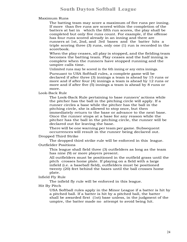Maximum Runs

The batting team may score a maximum of five runs per inning. If more than five runs are scored within the completion of the batters at bat in which the fifth run scores, the play shall be completed but only five runs count. For example, if the offense has four runs scored already in an inning and there are runners at 1st, 2nd, and 3rd bases and the batter hits a triple scoring three (3) runs, only one (1) run is recorded in the scorebook.

When the play ceases, all play is stopped, and the fielding team becomes the batting team. Play ceases and the half inning is complete when the runners have stopped running and the umpire calls time.

Unlimited runs may be scored in the 6th inning or any extra innings. Pursuant to USA Softball rules, a complete game will be declared if after three (3) innings a team is ahead by 15 runs or more and if after four (4) innings a team is ahead by 12 runs or more and if after five (5) innings a team is ahead by 8 runs or more.

Look-Back Rule

The Look-Back Rule pertaining to base runners' actions while the pitcher has the ball in the pitching circle will apply. If a runner circles a base while the pitcher has the ball in the pitching circle, she is allowed to stop once, but then immediately return to the base or advance to the next base. Once the runner stops at a base for any reason while the pitcher has the ball in the pitching circle, the runner will be declared out for leaving the base.

There will be one warning per team per game. Subsequent occurrences will result in the runner being declared out.

Dropped Third Strike

The dropped third strike rule will be enforced in this league. Outfielder Positions

This league shall field three (3) outfielders as long as the team has nine (9) or more players present.

All outfielders must be positioned in the outfield grass until the pitch crosses home plate. If playing on a field with a large infield (i.e. a baseball field), outfielders must be positioned twenty (20) feet behind the bases until the ball crosses home plate.

Infield Fly Rule

The infield fly rule will be enforced in this league.

Hit By Pitch

USA Softball rules apply in the Minor League if a batter is hit by a pitched ball. If a batter is hit by a pitched ball, the batter shall be awarded first (1st) base unless, in the judgment of the umpire, the batter made no attempt to avoid being hit.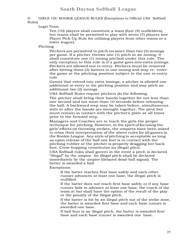### D. GIRLS 10U ROOKIE LEAGUE RULES (Exceptions to Official USA Softball Rules)

### Legal Team

Ten (10) players shall constitute a team (four (4) outfielders), but teams shall be permitted to play with seven (7) players (see Player Pick-Up Rule for utilizing players from other teams or a lower league).

### Pitching

Pitchers are permitted to pitch no more than two (2) innings per game. If a pitcher throws one (1) pitch in an inning, it shall constitute one (1) inning pitched under this rule. The only exception to this rule is if a game goes into extra innings. Pitchers are allowed one re-entry. Pitchers must be removed after hitting three (3) batters in one inning and may re- enter the game at the pitching position subject to the one re-entry rule.

Games that extend into extra innings, a pitcher is allowed one additional re-entry to the pitching position and may pitch an additional two (2) innings.

USA Softball Rules require pitchers do the following:

The pitcher shall bring their hands together for not less than one second and not more than 10 seconds before releasing the ball. A backward step may be taken before, simultaneous with or after the hands are brought together. The pivot foot must remain in contact with the pitcher's plate at all times prior to the forward step.

Managers and Coaches are to teach the girls the proper technique for pitching. However,in the spirit of focusing the girls' efforts onthrowing strikes, the umpires have been asked to relax their interpretation of the above rules for all games in the Rookie League. Any style of pitching is acceptable as long as upon release of the ball one foot is in contact with the pitching rubber or the pitcher is properly dragging her back foot. Crow-hopping constitutes an illegal pitch.

USA Softball rules shall govern in the event a pitch is declared "illegal" by the umpire. An illegal pitch shall be declared immediately by the umpire (delayed dead-ball signal). The batter is awarded a ball.

Exceptions:

If the batter reaches first base safely and each other runner advances at least one base, the illegal pitch is nullified.

If the batter does not reach first base safely or if any base runner fails to advance at least one base, the coach of the team at bat shall have the option of the result of the play or the penalty of the illegal pitch.

If the batter is hit by an illegal pitch out of the strike zone, the batter is awarded first base and each base runner is awarded one base.

If ball four is an illegal pitch, the batter is awarded first base and each base runner is awarded one base.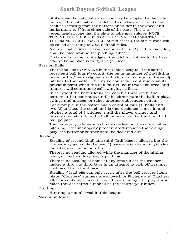Strike Zone: An optional strike zone may be adopted by the plate umpire. This optional zone is defined as follows – The strike zone shall be vertically from the batter's shoulder to the knee, and horizontally to 3<sup>"</sup> from either side of the plate. This is a recommended zone that the plate umpire may enforce. NOTE: THIS MUST BE DISCUSSED AT THE PRE- GAME MEETING OF THE UMPIRES AND COACHES. At mid-season, the strike zone will be called according to USA Softball rules.

A circle, eight (8) feet in radius and sixteen (16) feet in diameter, shall be lined around the pitching rubber.

Distance from the front edge of the pitching rubber to the base edge of home plate is thirty-five (35) feet.

Base on Balls

There shall be NO WALKS in the Rookie League. Ifthe batter receives a ball four (4) count, the team manager of the hitting team, or his/her designee, shall pitch a maximum of three (3) pitches to the batter. The strike count will continue from its previous point when the ball four (4) count was achieved, and umpires will continue to call swinging strikes.

In the event the batter fouls the coach's third pitch, the batters at-bat continues until she either puts the ball in play, swings and misses, or takes another subsequent pitch.

For example: if the batter has a count of four (4) balls and two (2) strikes, the coach or his/her designee comes in and pitches a total of 3 pitches; until the player swings and misses one pitch; hits the ball, or watches the third pitched ball go past.

The manager / pitcher must have one foot on the rubber when pitching. If the manager  $\ell$  pitcher interferes with the fielding play, the batter or runner shall be declared out.

Stealing

Stealing of second (2nd) and third (3rd) base is allowed but the runner may gain only the one (1) base she is attempting to steal (no advancement on overthrow).

There is no stealing allowed while the manager of the hitting team, or his/her designee, is pitching.

There is no stealing of home at any time unless the catcher makes a throw to third base in an attempt to pick-off a runner leading off from third base.

Stealing/Lead-offs can only occur after the ball crosses home plate. "Courtesy" runners are allowed for Pitchers and Catchers after two outs have been recorded in an inning. The player who made the last batted out shall be the "courtesy" runner.

#### Bunting

Bunting is not allowed in this league.

Maximum Runs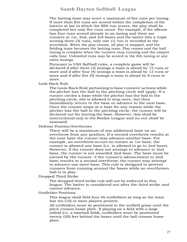The batting team may score a maximum of five runs per inning. If more than five runs are scored within the completion of the batters at bat in which the fifth run scores, the play shall be completed but only five runs count. For example, if the offense has four runs scored already in an inning and there are runners at 1st, 2nd, and 3rd bases and the batter hits a triple scoring three (3) runs, only one (1) run is recorded in the scorebook. When the play ceases, all play is stopped, and the fielding team becomes the batting team. Play ceases and the half inning is complete when the runners stop running and the umpire calls time. Unlimited runs may be scored in the 6th inning or any extra innings.

Pursuant to USA Softball rules, a complete game will be declared if after three (3) innings a team is ahead by 15 runs or more and if after four (4) innings a team is ahead by 12 runs or more and if after five (5) innings a team is ahead by 8 runs or more.

Look-Back Rule

The Look-Back Rule pertaining to base runners' actions while the pitcher has the ball in the pitching circle will apply. If a runner circles a base while the pitcher has the ball in the pitching circle, she is allowed to stop once, but then immediately return to the base or advance to the next base. Once the runner stops at a base for any reason while the pitcher has the ball in the pitching circle, the runner will be declared out for leaving the base. However, this shall be instructional only in the Rookie League and no out shall be assessed.

Defense Position Overthrows

There will be a maximum of one additional base on an overthrow from any position. If a second overthrow results at the next base the runner may advance another base. For example, an overthrow occurs on runner at 1st base, the runner is allowed one base (i.e. is allowed to go to 2nd base). However, if the runner does not attempt to advance to 2nd base, the runner is not awarded 2nd base. The base must be earned by the runner. If the runner's advancement to 2nd base results in a second overthrow, the runner may attempt to advance one more base. This rule is designed to prevent runners from running around the bases while an overthrown ball is in play.

Dropped Third Strike

The dropped third strike rule will not be enforced in this league. The batter is considered out after the third strike and cannot advance.

Outfielder Positions

This league shall field four (4) outfielders as long as the team has ten (10) or more players present.

All outfielders must be positioned in the outfield grass until the pitch crosses home plate. If playing on a field with a large infield (i.e. a baseball field), outfielders must be positioned twenty (20) feet behind the bases until the ball crosses home plate.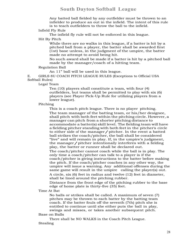Any batted ball fielded by any outfielder must be thrown to an infielder to produce an out in the infield. The intent of this rule is to teach outfielders to throw the ball to the infield.

### Infield Fly Rule

The infield fly rule will not be enforced in this league.

Hit By Pitch

While there are no walks in this league, if a batter is hit by a pitched ball from a player, the batter shall be awarded first (1st) base unless, in the judgment of the umpire, the batter made no attempt to avoid being hit.

No such award shall be made if a batter is hit by a pitched ball made by the manager/coach of a hitting team.

## Regulation Ball

An 11" ball will be used in this league.

E. GIRLS 8U COACH PITCH LEAGUE RULES (Exceptions to Official USA Softball Rules)

Legal Team

Ten (10) players shall constitute a team, with four (4) outfielders, but teams shall be permitted to play with six (6) players (see Player Pick-Up Rule for utilizing players from a lower league).

Pitching

This is a coach pitch league. There is no player pitching. The team manager of the batting team, or his/her designee, shall pitch with both feet within the pitching circle. However, a manager can pitch from a shorter pitching distance to accommodate a batter(s) skill level. The fielding team will have a fielding pitcher standing with both feet in the pitcher's circle to either side of the manager/pitcher. In the event a batted ball strikes the coach/pitcher, the ball shall be considered "live" and will remain in play. If, in the umpire's judgment, the manager/pitcher intentionally interferes with <sup>a</sup> fielding play, the batter or runner shall be declared out. The coach/pitcher cannot coach while the ball is in play. The only time a coach/pitcher can talk to a player is if the coach/pitcher is giving instructions to the batter before making the pitch. If the coach/pitcher coaches in any other way, the umpire will issue a warning. Any additional offenses during the same game will result in the umpire calling the player(s) out. A circle, six (6) feet in radius and twelve (12) feet in diameter, shall be lined around the pitching rubber.

Distance from the front edge of the pitching rubber to the base edge of home plate is thirty-five (35) feet.

Time At Bat

No balls or strikes shall be called. A maximum of seven (7) pitches may be thrown to each batter by the batting team coach. If the batter fouls off the seventh (7th) pitch she is entitled to continue until she either puts the ball in play, swings and misses, or takes another subsequent pitch.

### Base on Balls

There shall be NO WALKS in the Coach Pitch League. Stealing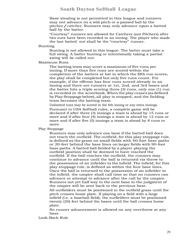Base stealing is not permitted in this league and runners may not advance on a wild pitch or a passed ball by the pitcher/catcher. Runners may only advance upon a batted ball by the batter.

"Courtesy" runners are allowed for Catchers (not Pitchers) after two outs have been recorded in an inning. The player who made the last batted out shall be the "courtesy" runner.

Bunting

Bunting is not allowed in this league. The batter must take a full swing. A batter bunting or intentionally taking a partial swing will be called out.

#### Maximum Runs

The batting team may score a maximum of five runs per inning. If more than five runs are scored within the completion of the batters at bat in which the fifth run scores, the play shall be completed but only five runs count. For example, if the offense has four runs scored already in an inning and there are runners at 1st, 2nd, and 3rd bases and the batter hits a triple scoring three (3) runs, only one (1) run is recorded in the scorebook.Whenthe play ceases (as defined by PlayStoppage below), all play is stopped, and the fielding team becomes the batting team.

Unlimited runs may be scored in the 6th inning or any extra innings. Pursuant to USA Softball rules, a complete game will be declared if after three (3) innings a team is ahead by 15 runs or more and if after four (4) innings a team is ahead by 12 runs or more and if after five (5) innings a team is ahead by 8 runs or more.

Play Stoppage

Runners may only advance one base if the batted ball does not reach the outfield. The outfield, for this play stoppage rule, is defined as the grass on small fields with 60-foot base paths or 20-feet behind the base lines on larger fields with 90-foot base paths. A batted ball fielded by a player playing the outfield position shall be deemed to have reached the outfield. If the ball reaches the outfield, the runners may continue to advance until the ball is returned via throw to the possession of an infielder in the infield. The infield, for this play stoppage rule, is defined as within the four base lines. Once the ball is returned to the possession of an infielder in the infield, the umpire shall call time so that no runners can advance or attempt to advance after the call by the umpire. Runners not yet half way to the next base in the judgment of the umpire will be sent back to the previous base.

All outfielders must be positioned in the outfield grass until the pitch crosses home plate. If playing on a field with a large infield (i.e. a baseball field), the outfielders must be positioned twenty (20) feet behind the bases until the ball crosses home plate.

No runner advancement is allowed on any overthrow at any base.

Look-Back Rule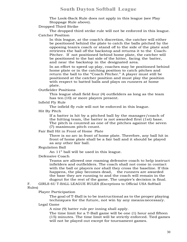The Look-Back Rule does not apply in this league (see Play Stoppage Rule above).

Dropped Third Strike

The dropped third strike rule will not be enforced in this league. Catcher Position

In this league, at the coach's discretion, the catcher will either be positioned behind the plate to catch the balls pitched by the opposing team's coach or stand off to the side of the plate and retrieves the ball off the backstop and returns it to the Coach-Pitcher. If not positioned behind home plate, the catcher will be positioned to the bat side of the hitter, facing the batter, and near the backstop in the designated area.

In an effort to speed up play, coaches may be positioned behind home plate or in the catching position to catch pitches and return the ball to the "Coach Pitcher." A player must still be positioned at the catcher position and must play the position with respect to batted balls and plays on runners at home plate.

Outfielder Positions

This league shall field four (4) outfielders as long as the team has ten (10) or more players present.

Infield Fly Rule

The infield fly rule will not be enforced in this league.

Hit By Pitch

If a batter is hit by a pitched ball by the manager/coach of the hitting team, the batter is not awarded first (1st) base. The pitch is counted as one of the pitches against the seven (7) maximum pitch count.

Fair Ball Hit in Front of Home Plate

There is no arc in front of home plate. Therefore, any ball hit in front of home plate shall be a fair ball and it should be played as any other fair ball.

Regulation Ball

An 11" ball will be used in this league.

Defensive Coach

Teams are allowed one roaming defensive coach to help instruct infielders and outfielders. The coach shall not come in contact with the ball or players nor shall they cross the baseline. If this happens, the play becomes dead, the runners are awarded the base they are running to and the coach will remain in the dugout for the rest of the game. The umpire's decision is final.

F. GIRLS 6U T-BALL LEAGUE RULES (Exceptions to Official USA Softball Rules)

Player Participation

The goal of T-Ball is to be instructional as to the proper playing techniques for the future, not win by any meansnecessary.

### Legal Game

A nine (9) batter rule per inning shall apply.

The time limit for a T-Ball game will be one (1) hour and fifteen (15) minutes. The time limit will be strictly enforced. Tied games will not be played out except for tournament games.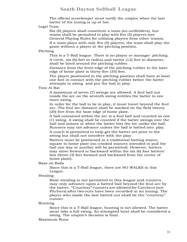The official scorekeeper must notify the umpire when the last batter of the inning is up at bat.

Legal Team

Six (6) players shall constitute a team (no outfielders), but teams shall be permitted to play with five (5) players (see General Playing Rules for utilizing players from other teams). If a team plays with only five (5) players, the team shall play the

game without a player at the pitching position.

### Pitching

This is a T-Ball league. There is no player or manager pitching. A circle, six (6) feet in radius and twelve (12) feet in diameter, shall be lined around the pitching rubber.

Distance from the front edge of the pitching rubber to the base edge of home plate is thirty-five (35) feet.

The player positioned in the pitching position shall have at least one foot in contact with the pitching rubber before the batter attempts to swing and put the ball in play.

### Time At Bat

A maximum of seven (7) swings are allowed. A foul ball not inside the arc on the seventh swing entitles the batter to one more swing.

In order for the ball to be in play, it must travel beyond the foul arc. The foul arc distance shall be marked on the field twenty (20) feet from the base edge of home plate.

A ball contained within the arc is a foul ball and counted as one (1) swing. A swing shall be counted if the batter swings over the ball and misses or when the batter hits the tee under the ball. Runners may not advance unless the ball is batted into play.

A coach is permitted to help get the batter set prior to the swing but shall not interfere with the play.

Batters must be positioned in a traditional batting stance, square to home plate (no crooked stances intended to pull the ball one way or another will be permitted). However, batters may move forward or backward within the six (6) foot batters' box (three (3) feet forward and backward from the center of home plate).

Base on Balls

Since this is a T-Ball league, there are NO WALKS in this League.

Stealing

Base stealing is not permitted in this league and runners may only advance upon a batted ball beyond the foul arc by the batter. "Courtesy" runners are allowed for Catchers (not Pitchers) after two outs have been recorded in an inning. The player who made the last batted out shall be the "courtesy" runner.

### Bunting

Since this is a T-Ball league, bunting is not allowed. The batter must take a full swing. An attempted bunt shall be considered a swing. The umpire's decision is final.

#### Maximum Runs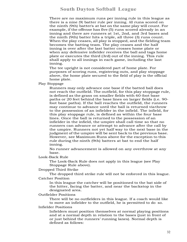There are no maximum runs per inning rule in this league as there is a nine (9) batter rule per inning. All runs scored on the ninth (9th) batter's at bat on the same play will count. For example, if the offense has five (5) runs scored already in an inning and there are runners at 1st, 2nd, and 3rd bases and the ninth (9th) batter hits a triple, all three (3) runs count. When the play ceases, all play is stopped, and the fielding team becomes the batting team. The play ceases and the half inning is over after the last batter crosses home plate or when any defensive infielder receives the ball and tags home plate or executes the third (3rd) out of the inning. This rule shall apply to all innings in each game, including the last inning.

The tee upright is not considered part of home plate. For purposes of scoring runs, registering outs, and play stoppage above, the home plate secured to the field of play is the official home plate.

Play Stoppage

Runners may only advance one base if the batted ball does not reach the outfield. The outfield, for this play stoppage rule, is defined as the grass on smaller fields with 60-foot base paths or 20 feet behind the base lines on larger fields (i.e. 90 foot base paths). If the ball reaches the outfield, the runners may continue to advance until the ball is returned viathrow to the possession of an infielder in the infield. The infield, for this play stoppage rule, is defined as within the four base lines. Once the ball is returned to the possession of an infielder in the infield, the umpire shall call time so that no runners can advance or attempt to advance after the call by the umpire. Runners not yet half way to the next base in the judgment of the umpire will be sent back to the previous base. However, see Maximum Runs above for the exception to this rule during the ninth (9th) batters at bat to end the half inning.

No runner advancement is allowed on any overthrow at any base.

Look-Back Rule

The Look-Back Rule does not apply in this league (see Play Stoppage Rule above).

Dropped Third Strike

The dropped third strike rule will not be enforced in this league. Catcher Position

In this league the catcher will be positioned to the bat side of the hitter, facing the batter, and near the backstop in the designated area.

### Outfielder Positions

There will be no outfielders in this league. If a coach would like to move an infielder to the outfield, he is permitted to do so.

#### Infielder Positions

Infielders must position themselves at normal playing positions and at a normal depth in relation to the bases (just in front of or just behind the runners' running lanes). Normal depth is defined as follows: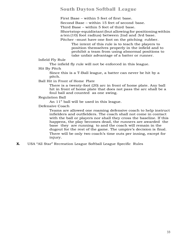First Base – within 5 feet of first base. Second Base – within 15 feet of second base. Third Base – within 5 feet of third base. Shortstop–equidistant(but allowing for positioning within a ten(10) foot radius) between 2nd and 3rd base.

Pitcher –must have one foot on the pitching rubber.

The intent of this rule is to teach the players to position themselves properly in the infield and to prohibit a team from using abnormal positions to take unfair advantage of a batter or runner.

Infield Fly Rule

The infield fly rule will not be enforced in this league.

Hit By Pitch

Since this is a T-Ball league, a batter can never be hit by a pitch.

Ball Hit in Front of Home Plate

There is a twenty-foot (20) arc in front of home plate. Any ball hit in front of home plate that does not pass the arc shall be a foul ball and counted as one swing.

Regulation Ball

An 11" ball will be used in this league.

Defensive Coach

Teams are allowed one roaming defensive coach to help instruct infielders and outfielders. The coach shall not come in contact with the ball or players nor shall they cross the baseline. If this happens, the play becomes dead, the runners are awarded the base they are running to and the coach will remain in the dugout for the rest of the game. The umpire's decision is final. There will be only two coach's time outs per inning, except for injury.

**X.** USA "All Star" Recreation League Softball League Specific Rules